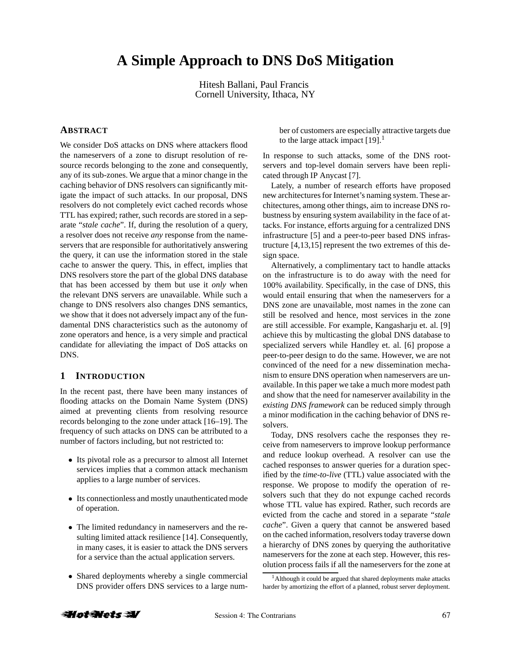# **A Simple Approach to DNS DoS Mitigation**

Hitesh Ballani, Paul Francis Cornell University, Ithaca, NY

## **ABSTRACT**

We consider DoS attacks on DNS where attackers flood the nameservers of a zone to disrupt resolution of resource records belonging to the zone and consequently, any of its sub-zones. We argue that a minor change in the caching behavior of DNS resolvers can significantly mitigate the impact of such attacks. In our proposal, DNS resolvers do not completely evict cached records whose TTL has expired; rather, such records are stored in a separate "*stale cache*". If, during the resolution of a query, a resolver does not receive *any* response from the nameservers that are responsible for authoritatively answering the query, it can use the information stored in the stale cache to answer the query. This, in effect, implies that DNS resolvers store the part of the global DNS database that has been accessed by them but use it *only* when the relevant DNS servers are unavailable. While such a change to DNS resolvers also changes DNS semantics, we show that it does not adversely impact any of the fundamental DNS characteristics such as the autonomy of zone operators and hence, is a very simple and practical candidate for alleviating the impact of DoS attacks on DNS.

## **1 INTRODUCTION**

In the recent past, there have been many instances of flooding attacks on the Domain Name System (DNS) aimed at preventing clients from resolving resource records belonging to the zone under attack [16–19]. The frequency of such attacks on DNS can be attributed to a number of factors including, but not restricted to:

- Its pivotal role as a precursor to almost all Internet services implies that a common attack mechanism applies to a large number of services.
- Its connectionless and mostly unauthenticated mode of operation.
- The limited redundancy in nameservers and the resulting limited attack resilience [14]. Consequently, in many cases, it is easier to attack the DNS servers for a service than the actual application servers.
- Shared deployments whereby a single commercial DNS provider offers DNS services to a large num-

ber of customers are especially attractive targets due to the large attack impact  $[19]$ <sup>1</sup>

In response to such attacks, some of the DNS rootservers and top-level domain servers have been replicated through IP Anycast [7].

Lately, a number of research efforts have proposed new architectures for Internet's naming system. These architectures, among other things, aim to increase DNS robustness by ensuring system availability in the face of attacks. For instance, efforts arguing for a centralized DNS infrastructure [5] and a peer-to-peer based DNS infrastructure [4,13,15] represent the two extremes of this design space.

Alternatively, a complimentary tact to handle attacks on the infrastructure is to do away with the need for 100% availability. Specifically, in the case of DNS, this would entail ensuring that when the nameservers for a DNS zone are unavailable, most names in the zone can still be resolved and hence, most services in the zone are still accessible. For example, Kangasharju et. al. [9] achieve this by multicasting the global DNS database to specialized servers while Handley et. al. [6] propose a peer-to-peer design to do the same. However, we are not convinced of the need for a new dissemination mechanism to ensure DNS operation when nameservers are unavailable. In this paper we take a much more modest path and show that the need for nameserver availability in the *existing DNS framework* can be reduced simply through a minor modification in the caching behavior of DNS resolvers.

Today, DNS resolvers cache the responses they receive from nameservers to improve lookup performance and reduce lookup overhead. A resolver can use the cached responses to answer queries for a duration specified by the *time-to-live* (TTL) value associated with the response. We propose to modify the operation of resolvers such that they do not expunge cached records whose TTL value has expired. Rather, such records are evicted from the cache and stored in a separate "*stale cache*". Given a query that cannot be answered based on the cached information, resolvers today traverse down a hierarchy of DNS zones by querying the authoritative nameservers for the zone at each step. However, this resolution process fails if all the nameservers for the zone at



<sup>&</sup>lt;sup>1</sup> Although it could be argued that shared deployments make attacks harder by amortizing the effort of a planned, robust server deployment.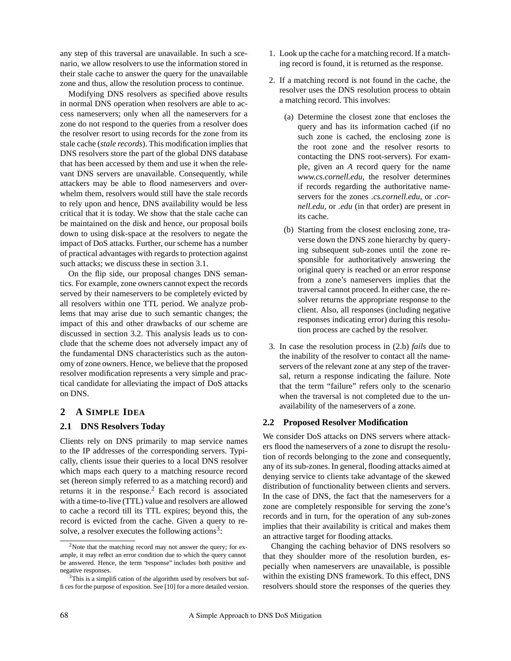any step of this traversal are unavailable. In such a scenario, we allow resolvers to use the information stored in their stale cache to answer the query for the unavailable zone and thus, allow the resolution process to continue.

Modifying DNS resolvers as specified above results in normal DNS operation when resolvers are able to access nameservers; only when all the nameservers for a zone do not respond to the queries from a resolver does the resolver resort to using records for the zone from its stale cache (*stale records*). This modification implies that DNS resolvers store the part of the global DNS database that has been accessed by them and use it when the relevant DNS servers are unavailable. Consequently, while attackers may be able to flood nameservers and overwhelm them, resolvers would still have the stale records to rely upon and hence, DNS availability would be less critical that it is today. We show that the stale cache can be maintained on the disk and hence, our proposal boils down to using disk-space at the resolvers to negate the impact of DoS attacks. Further, our scheme has a number of practical advantages with regards to protection against such attacks; we discuss these in section 3.1.

On the flip side, our proposal changes DNS semantics. For example, zone owners cannot expect the records served by their nameservers to be completely evicted by all resolvers within one TTL period. We analyze problems that may arise due to such semantic changes; the impact of this and other drawbacks of our scheme are discussed in section 3.2. This analysis leads us to conclude that the scheme does not adversely impact any of the fundamental DNS characteristics such as the autonomy of zone owners. Hence, we believe that the proposed resolver modification represents a very simple and practical candidate for alleviating the impact of DoS attacks on DNS.

# **2 A SIMPLE IDEA**

## **2.1 DNS Resolvers Today**

Clients rely on DNS primarily to map service names to the IP addresses of the corresponding servers. Typically, clients issue their queries to a local DNS resolver which maps each query to a matching resource record set (hereon simply referred to as a matching record) and returns it in the response. $<sup>2</sup>$  Each record is associated</sup> with a time-to-live (TTL) value and resolvers are allowed to cache a record till its TTL expires; beyond this, the record is evicted from the cache. Given a query to resolve, a resolver executes the following actions<sup>3</sup>:

- 1. Look up the cache for a matching record. If a matching record is found, it is returned as the response.
- 2. If a matching record is not found in the cache, the resolver uses the DNS resolution process to obtain a matching record. This involves:
	- (a) Determine the closest zone that encloses the query and has its information cached (if no such zone is cached, the enclosing zone is the root zone and the resolver resorts to contacting the DNS root-servers). For example, given an *A* record query for the name *www.cs.cornell.edu*, the resolver determines if records regarding the authoritative nameservers for the zones *.cs.cornell.edu*, or *.cornell.edu*, or *.edu* (in that order) are present in its cache.
	- (b) Starting from the closest enclosing zone, traverse down the DNS zone hierarchy by querying subsequent sub-zones until the zone responsible for authoritatively answering the original query is reached or an error response from a zone's nameservers implies that the traversal cannot proceed. In either case, the resolver returns the appropriate response to the client. Also, all responses (including negative responses indicating error) during this resolution process are cached by the resolver.
- 3. In case the resolution process in (2.b) *fails* due to the inability of the resolver to contact all the nameservers of the relevant zone at any step of the traversal, return a response indicating the failure. Note that the term "failure" refers only to the scenario when the traversal is not completed due to the unavailability of the nameservers of a zone.

#### **2.2 Proposed Resolver Modification**

We consider DoS attacks on DNS servers where attackers flood the nameservers of a zone to disrupt the resolution of records belonging to the zone and consequently, any of its sub-zones. In general, flooding attacks aimed at denying service to clients take advantage of the skewed distribution of functionality between clients and servers. In the case of DNS, the fact that the nameservers for a zone are completely responsible for serving the zone's records and in turn, for the operation of any sub-zones implies that their availability is critical and makes them an attractive target for flooding attacks.

Changing the caching behavior of DNS resolvers so that they shoulder more of the resolution burden, especially when nameservers are unavailable, is possible within the existing DNS framework. To this effect, DNS resolvers should store the responses of the queries they

 $2$ Note that the matching record may not answer the query; for example, it may reflect an error condition due to which the query cannot be answered. Hence, the term 'response'' includes both positive and negative responses.

<sup>&</sup>lt;sup>3</sup>This is a simplification of the algorithm used by resolvers but suffices for the purpose of exposition. See [10] for a more detailed version.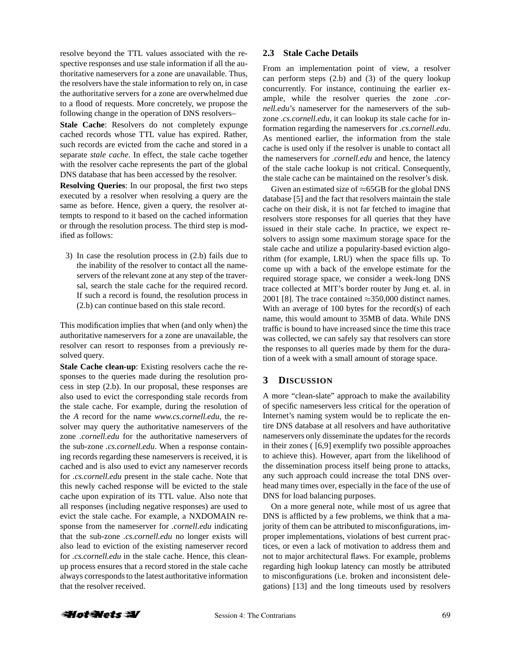resolve beyond the TTL values associated with the respective responses and use stale information if all the authoritative nameservers for a zone are unavailable. Thus, the resolvers have the stale information to rely on, in case the authoritative servers for a zone are overwhelmed due to a flood of requests. More concretely, we propose the following change in the operation of DNS resolvers–

**Stale Cache**: Resolvers do not completely expunge cached records whose TTL value has expired. Rather, such records are evicted from the cache and stored in a separate *stale cache*. In effect, the stale cache together with the resolver cache represents the part of the global DNS database that has been accessed by the resolver.

**Resolving Queries**: In our proposal, the first two steps executed by a resolver when resolving a query are the same as before. Hence, given a query, the resolver attempts to respond to it based on the cached information or through the resolution process. The third step is modified as follows:

3) In case the resolution process in (2.b) fails due to the inability of the resolver to contact all the nameservers of the relevant zone at any step of the traversal, search the stale cache for the required record. If such a record is found, the resolution process in (2.b) can continue based on this stale record.

This modification implies that when (and only when) the authoritative nameservers for a zone are unavailable, the resolver can resort to responses from a previously resolved query.

**Stale Cache clean-up**: Existing resolvers cache the responses to the queries made during the resolution process in step (2.b). In our proposal, these responses are also used to evict the corresponding stale records from the stale cache. For example, during the resolution of the *A* record for the name *www.cs.cornell.edu*, the resolver may query the authoritative nameservers of the zone *.cornell.edu* for the authoritative nameservers of the sub-zone *.cs.cornell.edu*. When a response containing records regarding these nameservers is received, it is cached and is also used to evict any nameserver records for *.cs.cornell.edu* present in the stale cache. Note that this newly cached response will be evicted to the stale cache upon expiration of its TTL value. Also note that all responses (including negative responses) are used to evict the stale cache. For example, a NXDOMAIN response from the nameserver for *.cornell.edu* indicating that the sub-zone *.cs.cornell.edu* no longer exists will also lead to eviction of the existing nameserver record for *.cs.cornell.edu* in the stale cache. Hence, this cleanup process ensures that a record stored in the stale cache always corresponds to the latest authoritative information that the resolver received.

#### **2.3 Stale Cache Details**

From an implementation point of view, a resolver can perform steps (2.b) and (3) of the query lookup concurrently. For instance, continuing the earlier example, while the resolver queries the zone *.cornell.edu*'s nameserver for the nameservers of the subzone *.cs.cornell.edu*, it can lookup its stale cache for information regarding the nameservers for *.cs.cornell.edu*. As mentioned earlier, the information from the stale cache is used only if the resolver is unable to contact all the nameservers for *.cornell.edu* and hence, the latency of the stale cache lookup is not critical. Consequently, the stale cache can be maintained on the resolver's disk.

Given an estimated size of  $\approx$  65GB for the global DNS database [5] and the fact that resolvers maintain the stale cache on their disk, it is not far fetched to imagine that resolvers store responses for all queries that they have issued in their stale cache. In practice, we expect resolvers to assign some maximum storage space for the stale cache and utilize a popularity-based eviction algorithm (for example, LRU) when the space fills up. To come up with a back of the envelope estimate for the required storage space, we consider a week-long DNS trace collected at MIT's border router by Jung et. al. in 2001 [8]. The trace contained  $\approx$ 350,000 distinct names. With an average of 100 bytes for the record(s) of each name, this would amount to 35MB of data. While DNS traffic is bound to have increased since the time this trace was collected, we can safely say that resolvers can store the responses to all queries made by them for the duration of a week with a small amount of storage space.

# **3 DISCUSSION**

A more "clean-slate" approach to make the availability of specific nameservers less critical for the operation of Internet's naming system would be to replicate the entire DNS database at all resolvers and have authoritative nameservers only disseminate the updates for the records in their zones ( [6,9] exemplify two possible approaches to achieve this). However, apart from the likelihood of the dissemination process itself being prone to attacks, any such approach could increase the total DNS overhead many times over, especially in the face of the use of DNS for load balancing purposes.

On a more general note, while most of us agree that DNS is afflicted by a few problems, we think that a majority of them can be attributed to misconfigurations, improper implementations, violations of best current practices, or even a lack of motivation to address them and not to major architectural flaws. For example, problems regarding high lookup latency can mostly be attributed to misconfigurations (i.e. broken and inconsistent delegations) [13] and the long timeouts used by resolvers

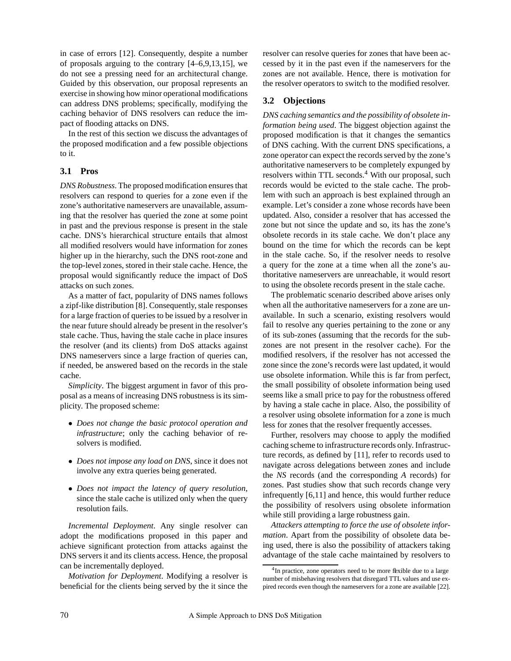in case of errors [12]. Consequently, despite a number of proposals arguing to the contrary [4–6,9,13,15], we do not see a pressing need for an architectural change. Guided by this observation, our proposal represents an exercise in showing how minor operational modifications can address DNS problems; specifically, modifying the caching behavior of DNS resolvers can reduce the impact of flooding attacks on DNS.

In the rest of this section we discuss the advantages of the proposed modification and a few possible objections to it.

## **3.1 Pros**

*DNS Robustness*. The proposed modification ensures that resolvers can respond to queries for a zone even if the zone's authoritative nameservers are unavailable, assuming that the resolver has queried the zone at some point in past and the previous response is present in the stale cache. DNS's hierarchical structure entails that almost all modified resolvers would have information for zones higher up in the hierarchy, such the DNS root-zone and the top-level zones, stored in their stale cache. Hence, the proposal would significantly reduce the impact of DoS attacks on such zones.

As a matter of fact, popularity of DNS names follows a zipf-like distribution [8]. Consequently, stale responses for a large fraction of queries to be issued by a resolver in the near future should already be present in the resolver's stale cache. Thus, having the stale cache in place insures the resolver (and its clients) from DoS attacks against DNS nameservers since a large fraction of queries can, if needed, be answered based on the records in the stale cache.

*Simplicity*. The biggest argument in favor of this proposal as a means of increasing DNS robustness is its simplicity. The proposed scheme:

- *Does not change the basic protocol operation and infrastructure*; only the caching behavior of resolvers is modified.
- *Does not impose any load on DNS*, since it does not involve any extra queries being generated.
- *Does not impact the latency of query resolution*, since the stale cache is utilized only when the query resolution fails.

*Incremental Deployment*. Any single resolver can adopt the modifications proposed in this paper and achieve significant protection from attacks against the DNS servers it and its clients access. Hence, the proposal can be incrementally deployed.

*Motivation for Deployment*. Modifying a resolver is beneficial for the clients being served by the it since the resolver can resolve queries for zones that have been accessed by it in the past even if the nameservers for the zones are not available. Hence, there is motivation for the resolver operators to switch to the modified resolver.

# **3.2 Objections**

*DNS caching semantics and the possibility of obsolete information being used*. The biggest objection against the proposed modification is that it changes the semantics of DNS caching. With the current DNS specifications, a zone operator can expect the records served by the zone's authoritative nameservers to be completely expunged by resolvers within TTL seconds.<sup>4</sup> With our proposal, such records would be evicted to the stale cache. The problem with such an approach is best explained through an example. Let's consider a zone whose records have been updated. Also, consider a resolver that has accessed the zone but not since the update and so, its has the zone's obsolete records in its stale cache. We don't place any bound on the time for which the records can be kept in the stale cache. So, if the resolver needs to resolve a query for the zone at a time when all the zone's authoritative nameservers are unreachable, it would resort to using the obsolete records present in the stale cache.

The problematic scenario described above arises only when all the authoritative nameservers for a zone are unavailable. In such a scenario, existing resolvers would fail to resolve any queries pertaining to the zone or any of its sub-zones (assuming that the records for the subzones are not present in the resolver cache). For the modified resolvers, if the resolver has not accessed the zone since the zone's records were last updated, it would use obsolete information. While this is far from perfect, the small possibility of obsolete information being used seems like a small price to pay for the robustness offered by having a stale cache in place. Also, the possibility of a resolver using obsolete information for a zone is much less for zones that the resolver frequently accesses.

Further, resolvers may choose to apply the modified caching scheme to infrastructure records only. Infrastructure records, as defined by [11], refer to records used to navigate across delegations between zones and include the *NS* records (and the corresponding *A* records) for zones. Past studies show that such records change very infrequently [6,11] and hence, this would further reduce the possibility of resolvers using obsolete information while still providing a large robustness gain.

*Attackers attempting to force the use of obsolete information*. Apart from the possibility of obsolete data being used, there is also the possibility of attackers taking advantage of the stale cache maintained by resolvers to

<sup>&</sup>lt;sup>4</sup>In practice, zone operators need to be more flexible due to a large number of misbehaving resolvers that disregard TTL values and use expired records even though the nameservers for a zone are available [22].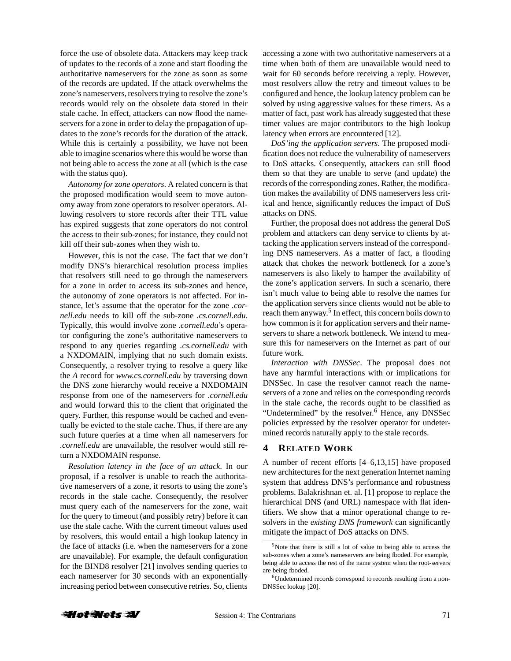force the use of obsolete data. Attackers may keep track of updates to the records of a zone and start flooding the authoritative nameservers for the zone as soon as some of the records are updated. If the attack overwhelms the zone's nameservers, resolvers trying to resolve the zone's records would rely on the obsolete data stored in their stale cache. In effect, attackers can now flood the nameservers for a zone in order to delay the propagation of updates to the zone's records for the duration of the attack. While this is certainly a possibility, we have not been able to imagine scenarios where this would be worse than not being able to access the zone at all (which is the case with the status quo).

*Autonomy for zone operators*. A related concern is that the proposed modification would seem to move autonomy away from zone operators to resolver operators. Allowing resolvers to store records after their TTL value has expired suggests that zone operators do not control the access to their sub-zones; for instance, they could not kill off their sub-zones when they wish to.

However, this is not the case. The fact that we don't modify DNS's hierarchical resolution process implies that resolvers still need to go through the nameservers for a zone in order to access its sub-zones and hence, the autonomy of zone operators is not affected. For instance, let's assume that the operator for the zone *.cornell.edu* needs to kill off the sub-zone *.cs.cornell.edu*. Typically, this would involve zone *.cornell.edu*'s operator configuring the zone's authoritative nameservers to respond to any queries regarding *.cs.cornell.edu* with a NXDOMAIN, implying that no such domain exists. Consequently, a resolver trying to resolve a query like the *A* record for *www.cs.cornell.edu* by traversing down the DNS zone hierarchy would receive a NXDOMAIN response from one of the nameservers for *.cornell.edu* and would forward this to the client that originated the query. Further, this response would be cached and eventually be evicted to the stale cache. Thus, if there are any such future queries at a time when all nameservers for *.cornell.edu* are unavailable, the resolver would still return a NXDOMAIN response.

*Resolution latency in the face of an attack*. In our proposal, if a resolver is unable to reach the authoritative nameservers of a zone, it resorts to using the zone's records in the stale cache. Consequently, the resolver must query each of the nameservers for the zone, wait for the query to timeout (and possibly retry) before it can use the stale cache. With the current timeout values used by resolvers, this would entail a high lookup latency in the face of attacks (i.e. when the nameservers for a zone are unavailable). For example, the default configuration for the BIND8 resolver [21] involves sending queries to each nameserver for 30 seconds with an exponentially increasing period between consecutive retries. So, clients accessing a zone with two authoritative nameservers at a time when both of them are unavailable would need to wait for 60 seconds before receiving a reply. However, most resolvers allow the retry and timeout values to be configured and hence, the lookup latency problem can be solved by using aggressive values for these timers. As a matter of fact, past work has already suggested that these timer values are major contributors to the high lookup latency when errors are encountered [12].

*DoS'ing the application servers*. The proposed modification does not reduce the vulnerability of nameservers to DoS attacks. Consequently, attackers can still flood them so that they are unable to serve (and update) the records of the corresponding zones. Rather, the modification makes the availability of DNS nameservers less critical and hence, significantly reduces the impact of DoS attacks on DNS.

Further, the proposal does not address the general DoS problem and attackers can deny service to clients by attacking the application servers instead of the corresponding DNS nameservers. As a matter of fact, a flooding attack that chokes the network bottleneck for a zone's nameservers is also likely to hamper the availability of the zone's application servers. In such a scenario, there isn't much value to being able to resolve the names for the application servers since clients would not be able to reach them anyway.<sup>5</sup> In effect, this concern boils down to how common is it for application servers and their nameservers to share a network bottleneck. We intend to measure this for nameservers on the Internet as part of our future work.

*Interaction with DNSSec*. The proposal does not have any harmful interactions with or implications for DNSSec. In case the resolver cannot reach the nameservers of a zone and relies on the corresponding records in the stale cache, the records ought to be classified as "Undetermined" by the resolver. <sup>6</sup> Hence, any DNSSec policies expressed by the resolver operator for undetermined records naturally apply to the stale records.

#### **4 RELATED WORK**

A number of recent efforts [4–6,13,15] have proposed new architectures for the next generation Internet naming system that address DNS's performance and robustness problems. Balakrishnan et. al. [1] propose to replace the hierarchical DNS (and URL) namespace with flat identifiers. We show that a minor operational change to resolvers in the *existing DNS framework* can significantly mitigate the impact of DoS attacks on DNS.



 $5$ Note that there is still a lot of value to being able to access the sub-zones when a zone's nameservers are being fboded. For example, being able to access the rest of the name system when the root-servers are being fboded.

<sup>6</sup>Undetermined records correspond to records resulting from a non-DNSSec lookup [20].